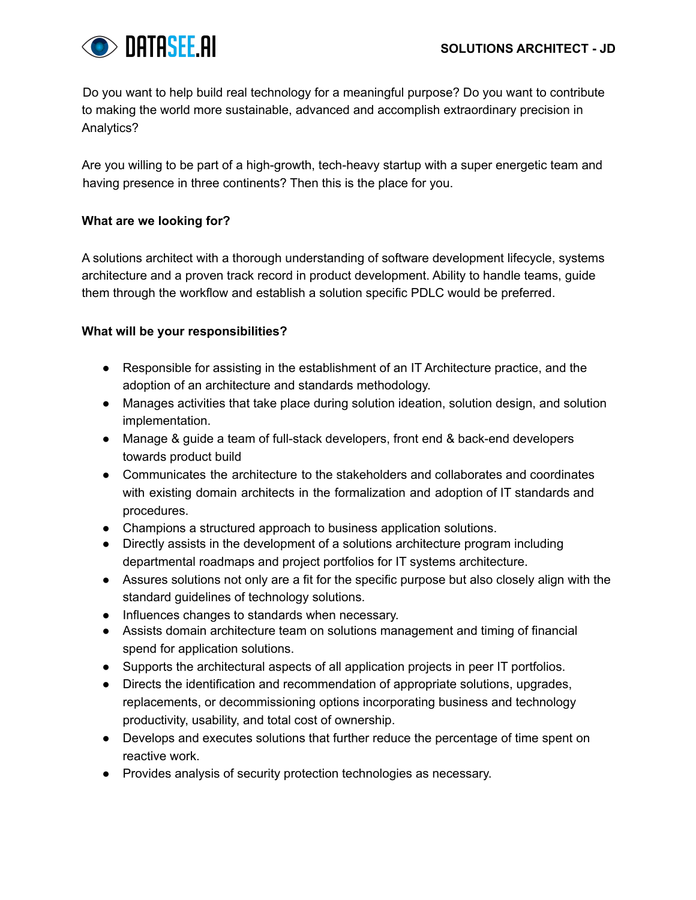

Do you want to help build real technology for a meaningful purpose? Do you want to contribute to making the world more sustainable, advanced and accomplish extraordinary precision in Analytics?

Are you willing to be part of a high-growth, tech-heavy startup with a super energetic team and having presence in three continents? Then this is the place for you.

# **What are we looking for?**

A solutions architect with a thorough understanding of software development lifecycle, systems architecture and a proven track record in product development. Ability to handle teams, guide them through the workflow and establish a solution specific PDLC would be preferred.

# **What will be your responsibilities?**

- Responsible for assisting in the establishment of an IT Architecture practice, and the adoption of an architecture and standards methodology.
- Manages activities that take place during solution ideation, solution design, and solution implementation.
- Manage & guide a team of full-stack developers, front end & back-end developers towards product build
- Communicates the architecture to the stakeholders and collaborates and coordinates with existing domain architects in the formalization and adoption of IT standards and procedures.
- Champions a structured approach to business application solutions.
- Directly assists in the development of a solutions architecture program including departmental roadmaps and project portfolios for IT systems architecture.
- Assures solutions not only are a fit for the specific purpose but also closely align with the standard guidelines of technology solutions.
- Influences changes to standards when necessary.
- Assists domain architecture team on solutions management and timing of financial spend for application solutions.
- Supports the architectural aspects of all application projects in peer IT portfolios.
- Directs the identification and recommendation of appropriate solutions, upgrades, replacements, or decommissioning options incorporating business and technology productivity, usability, and total cost of ownership.
- Develops and executes solutions that further reduce the percentage of time spent on reactive work.
- Provides analysis of security protection technologies as necessary.